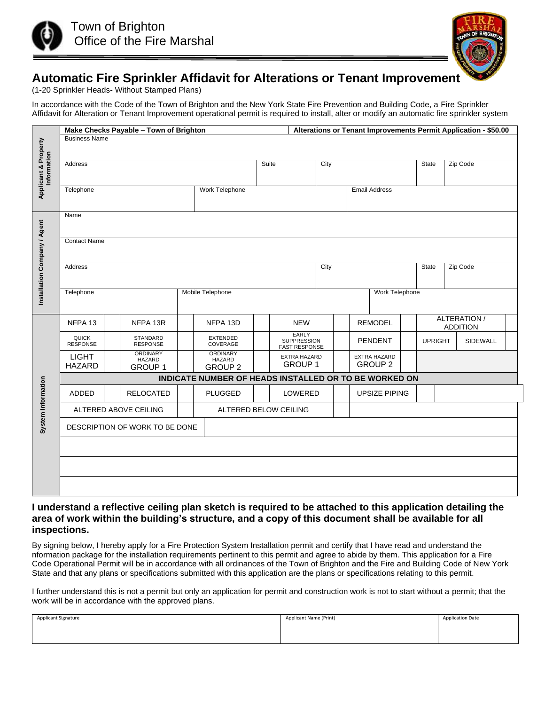



# **Automatic Fire Sprinkler Affidavit for Alterations or Tenant Improvement**

(1-20 Sprinkler Heads- Without Stamped Plans)

In accordance with the Code of the Town of Brighton and the New York State Fire Prevention and Building Code, a Fire Sprinkler Affidavit for Alteration or Tenant Improvement operational permit is required to install, alter or modify an automatic fire sprinkler system

|                                                                                                                                                                                                                                                                             | Make Checks Payable - Town of Brighton<br>Alterations or Tenant Improvements Permit Application - \$50.00 |  |                                                                                                                                                                                                      |                  |                             |         |                             |                |                      |                                       |                      |  |                |  |                 |  |
|-----------------------------------------------------------------------------------------------------------------------------------------------------------------------------------------------------------------------------------------------------------------------------|-----------------------------------------------------------------------------------------------------------|--|------------------------------------------------------------------------------------------------------------------------------------------------------------------------------------------------------|------------------|-----------------------------|---------|-----------------------------|----------------|----------------------|---------------------------------------|----------------------|--|----------------|--|-----------------|--|
|                                                                                                                                                                                                                                                                             | <b>Business Name</b>                                                                                      |  |                                                                                                                                                                                                      |                  |                             |         |                             |                |                      |                                       |                      |  |                |  |                 |  |
| <b>Applicant &amp; Property</b><br>Information                                                                                                                                                                                                                              |                                                                                                           |  |                                                                                                                                                                                                      |                  |                             |         |                             |                |                      |                                       |                      |  |                |  |                 |  |
|                                                                                                                                                                                                                                                                             |                                                                                                           |  |                                                                                                                                                                                                      |                  |                             |         | Suite                       |                |                      |                                       |                      |  | <b>State</b>   |  | Zip Code        |  |
|                                                                                                                                                                                                                                                                             | Address                                                                                                   |  |                                                                                                                                                                                                      |                  |                             |         |                             | City           |                      |                                       |                      |  |                |  |                 |  |
|                                                                                                                                                                                                                                                                             |                                                                                                           |  |                                                                                                                                                                                                      |                  |                             |         |                             |                |                      |                                       |                      |  |                |  |                 |  |
|                                                                                                                                                                                                                                                                             | Telephone                                                                                                 |  |                                                                                                                                                                                                      |                  | Work Telephone              |         |                             |                |                      |                                       | <b>Email Address</b> |  |                |  |                 |  |
|                                                                                                                                                                                                                                                                             |                                                                                                           |  |                                                                                                                                                                                                      |                  |                             |         |                             |                |                      |                                       |                      |  |                |  |                 |  |
|                                                                                                                                                                                                                                                                             |                                                                                                           |  |                                                                                                                                                                                                      |                  |                             |         |                             |                |                      |                                       |                      |  |                |  |                 |  |
|                                                                                                                                                                                                                                                                             | Name                                                                                                      |  |                                                                                                                                                                                                      |                  |                             |         |                             |                |                      |                                       |                      |  |                |  |                 |  |
|                                                                                                                                                                                                                                                                             |                                                                                                           |  |                                                                                                                                                                                                      |                  |                             |         |                             |                |                      |                                       |                      |  |                |  |                 |  |
|                                                                                                                                                                                                                                                                             | <b>Contact Name</b>                                                                                       |  |                                                                                                                                                                                                      |                  |                             |         |                             |                |                      |                                       |                      |  |                |  |                 |  |
|                                                                                                                                                                                                                                                                             |                                                                                                           |  |                                                                                                                                                                                                      |                  |                             |         |                             |                |                      |                                       |                      |  |                |  |                 |  |
|                                                                                                                                                                                                                                                                             | Zip Code<br>Address<br>City<br><b>State</b>                                                               |  |                                                                                                                                                                                                      |                  |                             |         |                             |                |                      |                                       |                      |  |                |  |                 |  |
|                                                                                                                                                                                                                                                                             |                                                                                                           |  |                                                                                                                                                                                                      |                  |                             |         |                             |                |                      |                                       |                      |  |                |  |                 |  |
|                                                                                                                                                                                                                                                                             |                                                                                                           |  |                                                                                                                                                                                                      |                  |                             |         |                             |                |                      |                                       |                      |  |                |  |                 |  |
| Installation Company / Agent                                                                                                                                                                                                                                                | Telephone                                                                                                 |  |                                                                                                                                                                                                      | Mobile Telephone |                             |         |                             | Work Telephone |                      |                                       |                      |  |                |  |                 |  |
|                                                                                                                                                                                                                                                                             |                                                                                                           |  |                                                                                                                                                                                                      |                  |                             |         |                             |                |                      |                                       |                      |  |                |  |                 |  |
|                                                                                                                                                                                                                                                                             |                                                                                                           |  |                                                                                                                                                                                                      |                  |                             |         |                             |                |                      | <b>REMODEL</b>                        |                      |  |                |  | ALTERATION /    |  |
|                                                                                                                                                                                                                                                                             | NFPA 13                                                                                                   |  | NFPA 13R                                                                                                                                                                                             |                  | NFPA 13D                    |         | <b>NEW</b>                  |                |                      |                                       |                      |  |                |  | <b>ADDITION</b> |  |
|                                                                                                                                                                                                                                                                             | <b>QUICK</b>                                                                                              |  | STANDARD<br><b>RESPONSE</b>                                                                                                                                                                          |                  | <b>EXTENDED</b><br>COVERAGE |         | EARLY<br><b>SUPPRESSION</b> |                |                      | <b>PENDENT</b>                        |                      |  | <b>UPRIGHT</b> |  | SIDEWALL        |  |
|                                                                                                                                                                                                                                                                             | <b>RESPONSE</b>                                                                                           |  | <b>ORDINARY</b>                                                                                                                                                                                      |                  | <b>ORDINARY</b>             |         | <b>FAST RESPONSE</b>        |                |                      |                                       |                      |  |                |  |                 |  |
|                                                                                                                                                                                                                                                                             | <b>LIGHT</b>                                                                                              |  | HAZARD                                                                                                                                                                                               |                  | <b>HAZARD</b>               |         | EXTRA HAZARD<br>GROUP 1     |                |                      | <b>EXTRA HAZARD</b><br><b>GROUP 2</b> |                      |  |                |  |                 |  |
|                                                                                                                                                                                                                                                                             | HAZARD<br><b>GROUP 1</b>                                                                                  |  |                                                                                                                                                                                                      |                  | <b>GROUP 2</b>              |         |                             |                |                      |                                       |                      |  |                |  |                 |  |
|                                                                                                                                                                                                                                                                             | INDICATE NUMBER OF HEADS INSTALLED OR TO BE WORKED ON                                                     |  |                                                                                                                                                                                                      |                  |                             |         |                             |                |                      |                                       |                      |  |                |  |                 |  |
| System Information                                                                                                                                                                                                                                                          | <b>ADDED</b><br><b>RELOCATED</b>                                                                          |  |                                                                                                                                                                                                      | <b>PLUGGED</b>   |                             | LOWERED |                             |                | <b>UPSIZE PIPING</b> |                                       |                      |  |                |  |                 |  |
|                                                                                                                                                                                                                                                                             | ALTERED ABOVE CEILING                                                                                     |  |                                                                                                                                                                                                      |                  | ALTERED BELOW CEILING       |         |                             |                |                      |                                       |                      |  |                |  |                 |  |
|                                                                                                                                                                                                                                                                             | DESCRIPTION OF WORK TO BE DONE                                                                            |  |                                                                                                                                                                                                      |                  |                             |         |                             |                |                      |                                       |                      |  |                |  |                 |  |
|                                                                                                                                                                                                                                                                             |                                                                                                           |  |                                                                                                                                                                                                      |                  |                             |         |                             |                |                      |                                       |                      |  |                |  |                 |  |
|                                                                                                                                                                                                                                                                             |                                                                                                           |  |                                                                                                                                                                                                      |                  |                             |         |                             |                |                      |                                       |                      |  |                |  |                 |  |
|                                                                                                                                                                                                                                                                             |                                                                                                           |  |                                                                                                                                                                                                      |                  |                             |         |                             |                |                      |                                       |                      |  |                |  |                 |  |
|                                                                                                                                                                                                                                                                             |                                                                                                           |  |                                                                                                                                                                                                      |                  |                             |         |                             |                |                      |                                       |                      |  |                |  |                 |  |
|                                                                                                                                                                                                                                                                             |                                                                                                           |  |                                                                                                                                                                                                      |                  |                             |         |                             |                |                      |                                       |                      |  |                |  |                 |  |
|                                                                                                                                                                                                                                                                             |                                                                                                           |  |                                                                                                                                                                                                      |                  |                             |         |                             |                |                      |                                       |                      |  |                |  |                 |  |
| I understand a reflective ceiling plan sketch is required to be attached to this application detailing the                                                                                                                                                                  |                                                                                                           |  |                                                                                                                                                                                                      |                  |                             |         |                             |                |                      |                                       |                      |  |                |  |                 |  |
| area of work within the building's structure, and a copy of this document shall be available for all                                                                                                                                                                        |                                                                                                           |  |                                                                                                                                                                                                      |                  |                             |         |                             |                |                      |                                       |                      |  |                |  |                 |  |
|                                                                                                                                                                                                                                                                             | inspections.                                                                                              |  |                                                                                                                                                                                                      |                  |                             |         |                             |                |                      |                                       |                      |  |                |  |                 |  |
|                                                                                                                                                                                                                                                                             |                                                                                                           |  |                                                                                                                                                                                                      |                  |                             |         |                             |                |                      |                                       |                      |  |                |  |                 |  |
| By signing below, I hereby apply for a Fire Protection System Installation permit and certify that I have read and understand the<br>nformation package for the installation requirements pertinent to this permit and agree to abide by them. This application for a Fire  |                                                                                                           |  |                                                                                                                                                                                                      |                  |                             |         |                             |                |                      |                                       |                      |  |                |  |                 |  |
| Code Operational Permit will be in accordance with all ordinances of the Town of Brighton and the Fire and Building Code of New York<br>State and that any plans or specifications submitted with this application are the plans or specifications relating to this permit. |                                                                                                           |  |                                                                                                                                                                                                      |                  |                             |         |                             |                |                      |                                       |                      |  |                |  |                 |  |
|                                                                                                                                                                                                                                                                             |                                                                                                           |  |                                                                                                                                                                                                      |                  |                             |         |                             |                |                      |                                       |                      |  |                |  |                 |  |
|                                                                                                                                                                                                                                                                             |                                                                                                           |  |                                                                                                                                                                                                      |                  |                             |         |                             |                |                      |                                       |                      |  |                |  |                 |  |
|                                                                                                                                                                                                                                                                             |                                                                                                           |  | I further understand this is not a permit but only an application for permit and construction work is not to start without a permit; that the<br>work will be in accordance with the approved plans. |                  |                             |         |                             |                |                      |                                       |                      |  |                |  |                 |  |

#### **I understand a reflective ceiling plan sketch is required to be attached to this application detailing the area of work within the building's structure, and a copy of this document shall be available for all inspections.**

| <b>Applicant Signature</b> | Applicant Name (Print) | <b>Application Date</b> |  |  |  |
|----------------------------|------------------------|-------------------------|--|--|--|
|                            |                        |                         |  |  |  |
|                            |                        |                         |  |  |  |